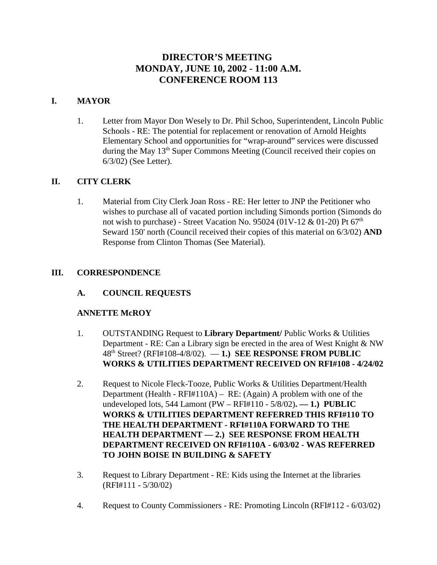# **DIRECTOR'S MEETING MONDAY, JUNE 10, 2002 - 11:00 A.M. CONFERENCE ROOM 113**

# **I. MAYOR**

1. Letter from Mayor Don Wesely to Dr. Phil Schoo, Superintendent, Lincoln Public Schools - RE: The potential for replacement or renovation of Arnold Heights Elementary School and opportunities for "wrap-around" services were discussed during the May 13<sup>th</sup> Super Commons Meeting (Council received their copies on 6/3/02) (See Letter).

# **II. CITY CLERK**

1. Material from City Clerk Joan Ross - RE: Her letter to JNP the Petitioner who wishes to purchase all of vacated portion including Simonds portion (Simonds do not wish to purchase) - Street Vacation No. 95024 (01V-12 & 01-20) Pt  $67<sup>th</sup>$ Seward 150' north (Council received their copies of this material on 6/3/02) **AND** Response from Clinton Thomas (See Material).

# **III. CORRESPONDENCE**

**A. COUNCIL REQUESTS**

# **ANNETTE McROY**

- 1. OUTSTANDING Request to **Library Department/** Public Works & Utilities Department - RE: Can a Library sign be erected in the area of West Knight & NW 48th Street? (RFI#108-4/8/02). — **1.) SEE RESPONSE FROM PUBLIC WORKS & UTILITIES DEPARTMENT RECEIVED ON RFI#108 - 4/24/02**
- 2. Request to Nicole Fleck-Tooze, Public Works & Utilities Department/Health Department (Health - RFI#110A) – RE: (Again) A problem with one of the undeveloped lots, 544 Lamont (PW – RFI#110 - 5/8/02)**. — 1.) PUBLIC WORKS & UTILITIES DEPARTMENT REFERRED THIS RFI#110 TO THE HEALTH DEPARTMENT - RFI#110A FORWARD TO THE HEALTH DEPARTMENT — 2.) SEE RESPONSE FROM HEALTH DEPARTMENT RECEIVED ON RFI#110A - 6/03/02 - WAS REFERRED TO JOHN BOISE IN BUILDING & SAFETY**
- 3. Request to Library Department RE: Kids using the Internet at the libraries (RFI#111 - 5/30/02)
- 4. Request to County Commissioners RE: Promoting Lincoln (RFI#112 6/03/02)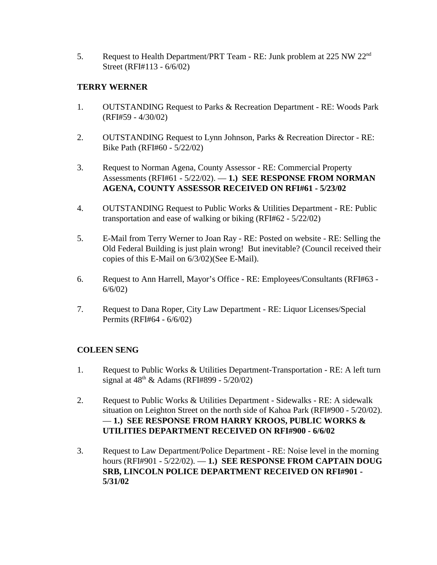5. Request to Health Department/PRT Team - RE: Junk problem at 225 NW 22nd Street (RFI#113 - 6/6/02)

# **TERRY WERNER**

- 1. OUTSTANDING Request to Parks & Recreation Department RE: Woods Park (RFI#59 - 4/30/02)
- 2. OUTSTANDING Request to Lynn Johnson, Parks & Recreation Director RE: Bike Path (RFI#60 - 5/22/02)
- 3. Request to Norman Agena, County Assessor RE: Commercial Property Assessments (RFI#61 - 5/22/02). — **1.) SEE RESPONSE FROM NORMAN AGENA, COUNTY ASSESSOR RECEIVED ON RFI#61 - 5/23/02**
- 4. OUTSTANDING Request to Public Works & Utilities Department RE: Public transportation and ease of walking or biking (RFI#62 - 5/22/02)
- 5. E-Mail from Terry Werner to Joan Ray RE: Posted on website RE: Selling the Old Federal Building is just plain wrong! But inevitable? (Council received their copies of this E-Mail on 6/3/02)(See E-Mail).
- 6. Request to Ann Harrell, Mayor's Office RE: Employees/Consultants (RFI#63 6/6/02)
- 7. Request to Dana Roper, City Law Department RE: Liquor Licenses/Special Permits (RFI#64 - 6/6/02)

# **COLEEN SENG**

- 1. Request to Public Works & Utilities Department-Transportation RE: A left turn signal at  $48^{th}$  & Adams (RFI#899 - 5/20/02)
- 2. Request to Public Works & Utilities Department Sidewalks RE: A sidewalk situation on Leighton Street on the north side of Kahoa Park (RFI#900 - 5/20/02). — **1.) SEE RESPONSE FROM HARRY KROOS, PUBLIC WORKS & UTILITIES DEPARTMENT RECEIVED ON RFI#900 - 6/6/02**
- 3. Request to Law Department/Police Department RE: Noise level in the morning hours (RFI#901 - 5/22/02). — **1.) SEE RESPONSE FROM CAPTAIN DOUG SRB, LINCOLN POLICE DEPARTMENT RECEIVED ON RFI#901 - 5/31/02**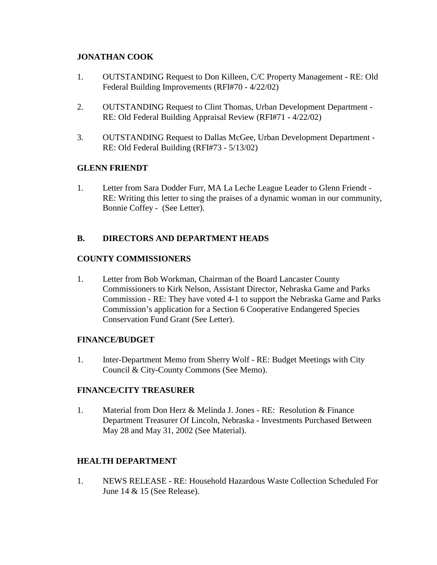# **JONATHAN COOK**

- 1. OUTSTANDING Request to Don Killeen, C/C Property Management RE: Old Federal Building Improvements (RFI#70 - 4/22/02)
- 2. OUTSTANDING Request to Clint Thomas, Urban Development Department RE: Old Federal Building Appraisal Review (RFI#71 - 4/22/02)
- 3. OUTSTANDING Request to Dallas McGee, Urban Development Department RE: Old Federal Building (RFI#73 - 5/13/02)

# **GLENN FRIENDT**

1. Letter from Sara Dodder Furr, MA La Leche League Leader to Glenn Friendt - RE: Writing this letter to sing the praises of a dynamic woman in our community, Bonnie Coffey - (See Letter).

# **B. DIRECTORS AND DEPARTMENT HEADS**

# **COUNTY COMMISSIONERS**

1. Letter from Bob Workman, Chairman of the Board Lancaster County Commissioners to Kirk Nelson, Assistant Director, Nebraska Game and Parks Commission - RE: They have voted 4-1 to support the Nebraska Game and Parks Commission's application for a Section 6 Cooperative Endangered Species Conservation Fund Grant (See Letter).

# **FINANCE/BUDGET**

1. Inter-Department Memo from Sherry Wolf - RE: Budget Meetings with City Council & City-County Commons (See Memo).

# **FINANCE/CITY TREASURER**

1. Material from Don Herz & Melinda J. Jones - RE: Resolution & Finance Department Treasurer Of Lincoln, Nebraska - Investments Purchased Between May 28 and May 31, 2002 (See Material).

# **HEALTH DEPARTMENT**

1. NEWS RELEASE - RE: Household Hazardous Waste Collection Scheduled For June 14 & 15 (See Release).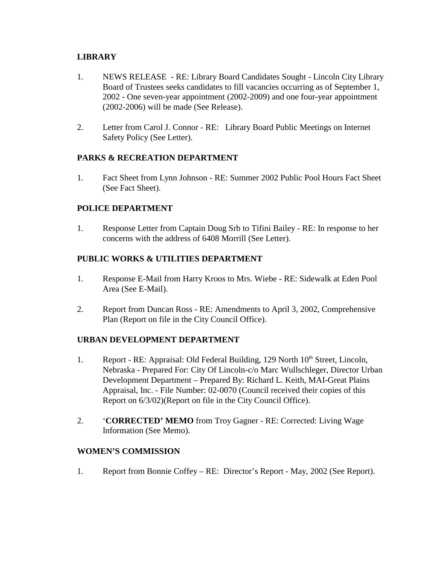# **LIBRARY**

- 1. NEWS RELEASE RE: Library Board Candidates Sought Lincoln City Library Board of Trustees seeks candidates to fill vacancies occurring as of September 1, 2002 - One seven-year appointment (2002-2009) and one four-year appointment (2002-2006) will be made (See Release).
- 2. Letter from Carol J. Connor RE: Library Board Public Meetings on Internet Safety Policy (See Letter).

# **PARKS & RECREATION DEPARTMENT**

1. Fact Sheet from Lynn Johnson - RE: Summer 2002 Public Pool Hours Fact Sheet (See Fact Sheet).

# **POLICE DEPARTMENT**

1. Response Letter from Captain Doug Srb to Tifini Bailey - RE: In response to her concerns with the address of 6408 Morrill (See Letter).

# **PUBLIC WORKS & UTILITIES DEPARTMENT**

- 1. Response E-Mail from Harry Kroos to Mrs. Wiebe RE: Sidewalk at Eden Pool Area (See E-Mail).
- 2. Report from Duncan Ross RE: Amendments to April 3, 2002, Comprehensive Plan (Report on file in the City Council Office).

# **URBAN DEVELOPMENT DEPARTMENT**

- 1. Report RE: Appraisal: Old Federal Building, 129 North 10<sup>th</sup> Street, Lincoln, Nebraska - Prepared For: City Of Lincoln-c/o Marc Wullschleger, Director Urban Development Department – Prepared By: Richard L. Keith, MAI-Great Plains Appraisal, Inc. - File Number: 02-0070 (Council received their copies of this Report on 6/3/02)(Report on file in the City Council Office).
- 2. '**CORRECTED' MEMO** from Troy Gagner RE: Corrected: Living Wage Information (See Memo).

# **WOMEN'S COMMISSION**

1. Report from Bonnie Coffey – RE: Director's Report - May, 2002 (See Report).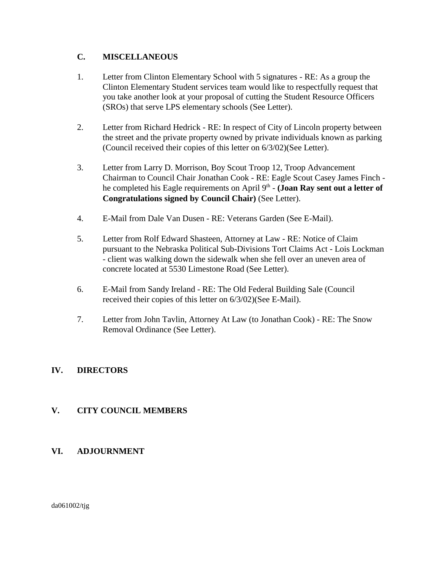# **C. MISCELLANEOUS**

- 1. Letter from Clinton Elementary School with 5 signatures RE: As a group the Clinton Elementary Student services team would like to respectfully request that you take another look at your proposal of cutting the Student Resource Officers (SROs) that serve LPS elementary schools (See Letter).
- 2. Letter from Richard Hedrick RE: In respect of City of Lincoln property between the street and the private property owned by private individuals known as parking (Council received their copies of this letter on 6/3/02)(See Letter).
- 3. Letter from Larry D. Morrison, Boy Scout Troop 12, Troop Advancement Chairman to Council Chair Jonathan Cook - RE: Eagle Scout Casey James Finch he completed his Eagle requirements on April 9<sup>th</sup> - **(Joan Ray sent out a letter of Congratulations signed by Council Chair)** (See Letter).
- 4. E-Mail from Dale Van Dusen RE: Veterans Garden (See E-Mail).
- 5. Letter from Rolf Edward Shasteen, Attorney at Law RE: Notice of Claim pursuant to the Nebraska Political Sub-Divisions Tort Claims Act - Lois Lockman - client was walking down the sidewalk when she fell over an uneven area of concrete located at 5530 Limestone Road (See Letter).
- 6. E-Mail from Sandy Ireland RE: The Old Federal Building Sale (Council received their copies of this letter on 6/3/02)(See E-Mail).
- 7. Letter from John Tavlin, Attorney At Law (to Jonathan Cook) RE: The Snow Removal Ordinance (See Letter).

# **IV. DIRECTORS**

# **V. CITY COUNCIL MEMBERS**

# **VI. ADJOURNMENT**

da061002/tjg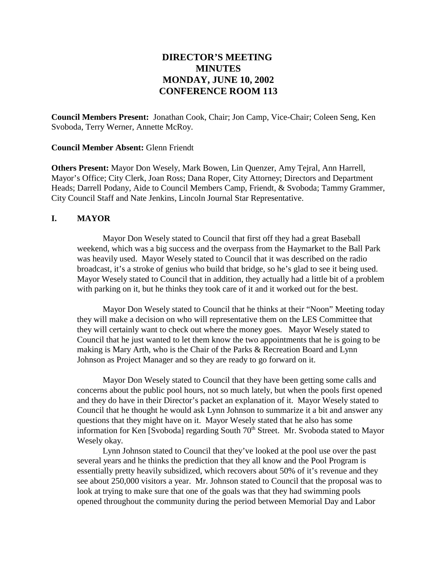# **DIRECTOR'S MEETING MINUTES MONDAY, JUNE 10, 2002 CONFERENCE ROOM 113**

**Council Members Present:** Jonathan Cook, Chair; Jon Camp, Vice-Chair; Coleen Seng, Ken Svoboda, Terry Werner, Annette McRoy.

**Council Member Absent:** Glenn Friendt

**Others Present:** Mayor Don Wesely, Mark Bowen, Lin Quenzer, Amy Tejral, Ann Harrell, Mayor's Office; City Clerk, Joan Ross; Dana Roper, City Attorney; Directors and Department Heads; Darrell Podany, Aide to Council Members Camp, Friendt, & Svoboda; Tammy Grammer, City Council Staff and Nate Jenkins, Lincoln Journal Star Representative.

#### **I. MAYOR**

Mayor Don Wesely stated to Council that first off they had a great Baseball weekend, which was a big success and the overpass from the Haymarket to the Ball Park was heavily used. Mayor Wesely stated to Council that it was described on the radio broadcast, it's a stroke of genius who build that bridge, so he's glad to see it being used. Mayor Wesely stated to Council that in addition, they actually had a little bit of a problem with parking on it, but he thinks they took care of it and it worked out for the best.

Mayor Don Wesely stated to Council that he thinks at their "Noon" Meeting today they will make a decision on who will representative them on the LES Committee that they will certainly want to check out where the money goes. Mayor Wesely stated to Council that he just wanted to let them know the two appointments that he is going to be making is Mary Arth, who is the Chair of the Parks & Recreation Board and Lynn Johnson as Project Manager and so they are ready to go forward on it.

Mayor Don Wesely stated to Council that they have been getting some calls and concerns about the public pool hours, not so much lately, but when the pools first opened and they do have in their Director's packet an explanation of it. Mayor Wesely stated to Council that he thought he would ask Lynn Johnson to summarize it a bit and answer any questions that they might have on it. Mayor Wesely stated that he also has some information for Ken [Svoboda] regarding South  $70<sup>th</sup>$  Street. Mr. Svoboda stated to Mayor Wesely okay.

Lynn Johnson stated to Council that they've looked at the pool use over the past several years and he thinks the prediction that they all know and the Pool Program is essentially pretty heavily subsidized, which recovers about 50% of it's revenue and they see about 250,000 visitors a year. Mr. Johnson stated to Council that the proposal was to look at trying to make sure that one of the goals was that they had swimming pools opened throughout the community during the period between Memorial Day and Labor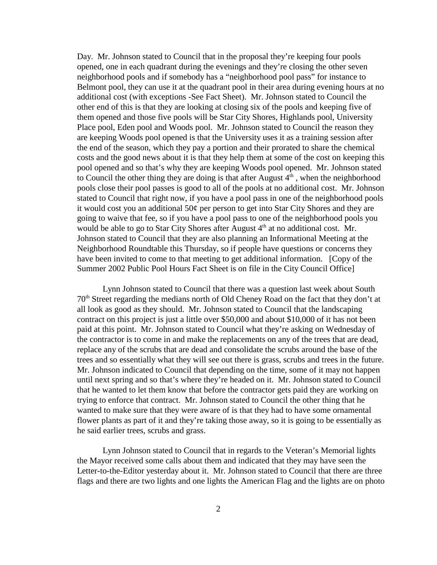Day. Mr. Johnson stated to Council that in the proposal they're keeping four pools opened, one in each quadrant during the evenings and they're closing the other seven neighborhood pools and if somebody has a "neighborhood pool pass" for instance to Belmont pool, they can use it at the quadrant pool in their area during evening hours at no additional cost (with exceptions -See Fact Sheet). Mr. Johnson stated to Council the other end of this is that they are looking at closing six of the pools and keeping five of them opened and those five pools will be Star City Shores, Highlands pool, University Place pool, Eden pool and Woods pool. Mr. Johnson stated to Council the reason they are keeping Woods pool opened is that the University uses it as a training session after the end of the season, which they pay a portion and their prorated to share the chemical costs and the good news about it is that they help them at some of the cost on keeping this pool opened and so that's why they are keeping Woods pool opened. Mr. Johnson stated to Council the other thing they are doing is that after August  $4<sup>th</sup>$ , when the neighborhood pools close their pool passes is good to all of the pools at no additional cost. Mr. Johnson stated to Council that right now, if you have a pool pass in one of the neighborhood pools it would cost you an additional  $50¢$  per person to get into Star City Shores and they are going to waive that fee, so if you have a pool pass to one of the neighborhood pools you would be able to go to Star City Shores after August  $4<sup>th</sup>$  at no additional cost. Mr. Johnson stated to Council that they are also planning an Informational Meeting at the Neighborhood Roundtable this Thursday, so if people have questions or concerns they have been invited to come to that meeting to get additional information. [Copy of the Summer 2002 Public Pool Hours Fact Sheet is on file in the City Council Office]

Lynn Johnson stated to Council that there was a question last week about South 70th Street regarding the medians north of Old Cheney Road on the fact that they don't at all look as good as they should. Mr. Johnson stated to Council that the landscaping contract on this project is just a little over \$50,000 and about \$10,000 of it has not been paid at this point. Mr. Johnson stated to Council what they're asking on Wednesday of the contractor is to come in and make the replacements on any of the trees that are dead, replace any of the scrubs that are dead and consolidate the scrubs around the base of the trees and so essentially what they will see out there is grass, scrubs and trees in the future. Mr. Johnson indicated to Council that depending on the time, some of it may not happen until next spring and so that's where they're headed on it. Mr. Johnson stated to Council that he wanted to let them know that before the contractor gets paid they are working on trying to enforce that contract. Mr. Johnson stated to Council the other thing that he wanted to make sure that they were aware of is that they had to have some ornamental flower plants as part of it and they're taking those away, so it is going to be essentially as he said earlier trees, scrubs and grass.

Lynn Johnson stated to Council that in regards to the Veteran's Memorial lights the Mayor received some calls about them and indicated that they may have seen the Letter-to-the-Editor yesterday about it. Mr. Johnson stated to Council that there are three flags and there are two lights and one lights the American Flag and the lights are on photo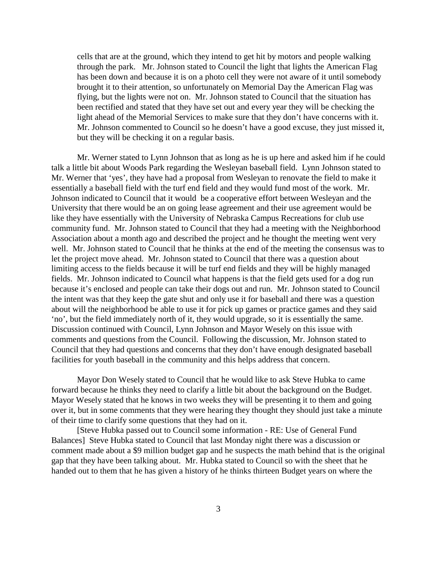cells that are at the ground, which they intend to get hit by motors and people walking through the park. Mr. Johnson stated to Council the light that lights the American Flag has been down and because it is on a photo cell they were not aware of it until somebody brought it to their attention, so unfortunately on Memorial Day the American Flag was flying, but the lights were not on. Mr. Johnson stated to Council that the situation has been rectified and stated that they have set out and every year they will be checking the light ahead of the Memorial Services to make sure that they don't have concerns with it. Mr. Johnson commented to Council so he doesn't have a good excuse, they just missed it, but they will be checking it on a regular basis.

Mr. Werner stated to Lynn Johnson that as long as he is up here and asked him if he could talk a little bit about Woods Park regarding the Wesleyan baseball field. Lynn Johnson stated to Mr. Werner that 'yes', they have had a proposal from Wesleyan to renovate the field to make it essentially a baseball field with the turf end field and they would fund most of the work. Mr. Johnson indicated to Council that it would be a cooperative effort between Wesleyan and the University that there would be an on going lease agreement and their use agreement would be like they have essentially with the University of Nebraska Campus Recreations for club use community fund. Mr. Johnson stated to Council that they had a meeting with the Neighborhood Association about a month ago and described the project and he thought the meeting went very well. Mr. Johnson stated to Council that he thinks at the end of the meeting the consensus was to let the project move ahead. Mr. Johnson stated to Council that there was a question about limiting access to the fields because it will be turf end fields and they will be highly managed fields. Mr. Johnson indicated to Council what happens is that the field gets used for a dog run because it's enclosed and people can take their dogs out and run. Mr. Johnson stated to Council the intent was that they keep the gate shut and only use it for baseball and there was a question about will the neighborhood be able to use it for pick up games or practice games and they said 'no', but the field immediately north of it, they would upgrade, so it is essentially the same. Discussion continued with Council, Lynn Johnson and Mayor Wesely on this issue with comments and questions from the Council. Following the discussion, Mr. Johnson stated to Council that they had questions and concerns that they don't have enough designated baseball facilities for youth baseball in the community and this helps address that concern.

Mayor Don Wesely stated to Council that he would like to ask Steve Hubka to came forward because he thinks they need to clarify a little bit about the background on the Budget. Mayor Wesely stated that he knows in two weeks they will be presenting it to them and going over it, but in some comments that they were hearing they thought they should just take a minute of their time to clarify some questions that they had on it.

[Steve Hubka passed out to Council some information - RE: Use of General Fund Balances] Steve Hubka stated to Council that last Monday night there was a discussion or comment made about a \$9 million budget gap and he suspects the math behind that is the original gap that they have been talking about. Mr. Hubka stated to Council so with the sheet that he handed out to them that he has given a history of he thinks thirteen Budget years on where the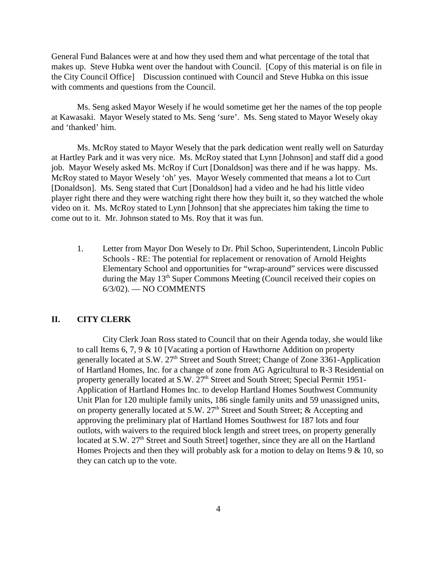General Fund Balances were at and how they used them and what percentage of the total that makes up. Steve Hubka went over the handout with Council. [Copy of this material is on file in the City Council Office] Discussion continued with Council and Steve Hubka on this issue with comments and questions from the Council.

Ms. Seng asked Mayor Wesely if he would sometime get her the names of the top people at Kawasaki. Mayor Wesely stated to Ms. Seng 'sure'. Ms. Seng stated to Mayor Wesely okay and 'thanked' him.

Ms. McRoy stated to Mayor Wesely that the park dedication went really well on Saturday at Hartley Park and it was very nice. Ms. McRoy stated that Lynn [Johnson] and staff did a good job. Mayor Wesely asked Ms. McRoy if Curt [Donaldson] was there and if he was happy. Ms. McRoy stated to Mayor Wesely 'oh' yes. Mayor Wesely commented that means a lot to Curt [Donaldson]. Ms. Seng stated that Curt [Donaldson] had a video and he had his little video player right there and they were watching right there how they built it, so they watched the whole video on it. Ms. McRoy stated to Lynn [Johnson] that she appreciates him taking the time to come out to it. Mr. Johnson stated to Ms. Roy that it was fun.

1. Letter from Mayor Don Wesely to Dr. Phil Schoo, Superintendent, Lincoln Public Schools - RE: The potential for replacement or renovation of Arnold Heights Elementary School and opportunities for "wrap-around" services were discussed during the May  $13<sup>th</sup>$  Super Commons Meeting (Council received their copies on 6/3/02). — NO COMMENTS

#### **II. CITY CLERK**

City Clerk Joan Ross stated to Council that on their Agenda today, she would like to call Items 6, 7, 9 & 10 [Vacating a portion of Hawthorne Addition on property generally located at S.W. 27<sup>th</sup> Street and South Street; Change of Zone 3361-Application of Hartland Homes, Inc. for a change of zone from AG Agricultural to R-3 Residential on property generally located at S.W. 27<sup>th</sup> Street and South Street; Special Permit 1951-Application of Hartland Homes Inc. to develop Hartland Homes Southwest Community Unit Plan for 120 multiple family units, 186 single family units and 59 unassigned units, on property generally located at S.W.  $27<sup>th</sup>$  Street and South Street; & Accepting and approving the preliminary plat of Hartland Homes Southwest for 187 lots and four outlots, with waivers to the required block length and street trees, on property generally located at S.W. 27<sup>th</sup> Street and South Street] together, since they are all on the Hartland Homes Projects and then they will probably ask for a motion to delay on Items 9 & 10, so they can catch up to the vote.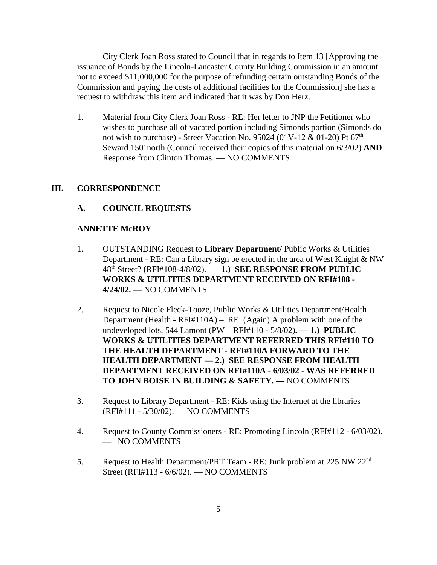City Clerk Joan Ross stated to Council that in regards to Item 13 [Approving the issuance of Bonds by the Lincoln-Lancaster County Building Commission in an amount not to exceed \$11,000,000 for the purpose of refunding certain outstanding Bonds of the Commission and paying the costs of additional facilities for the Commission] she has a request to withdraw this item and indicated that it was by Don Herz.

1. Material from City Clerk Joan Ross - RE: Her letter to JNP the Petitioner who wishes to purchase all of vacated portion including Simonds portion (Simonds do not wish to purchase) - Street Vacation No. 95024 (01V-12 & 01-20) Pt  $67<sup>th</sup>$ Seward 150' north (Council received their copies of this material on 6/3/02) **AND** Response from Clinton Thomas. — NO COMMENTS

#### **III. CORRESPONDENCE**

#### **A. COUNCIL REQUESTS**

#### **ANNETTE McROY**

- 1. OUTSTANDING Request to **Library Department/** Public Works & Utilities Department - RE: Can a Library sign be erected in the area of West Knight & NW 48th Street? (RFI#108-4/8/02). — **1.) SEE RESPONSE FROM PUBLIC WORKS & UTILITIES DEPARTMENT RECEIVED ON RFI#108 - 4/24/02. —** NO COMMENTS
- 2. Request to Nicole Fleck-Tooze, Public Works & Utilities Department/Health Department (Health - RFI#110A) – RE: (Again) A problem with one of the undeveloped lots, 544 Lamont (PW – RFI#110 - 5/8/02)**. — 1.) PUBLIC WORKS & UTILITIES DEPARTMENT REFERRED THIS RFI#110 TO THE HEALTH DEPARTMENT - RFI#110A FORWARD TO THE HEALTH DEPARTMENT — 2.) SEE RESPONSE FROM HEALTH DEPARTMENT RECEIVED ON RFI#110A - 6/03/02 - WAS REFERRED TO JOHN BOISE IN BUILDING & SAFETY. —** NO COMMENTS
- 3. Request to Library Department RE: Kids using the Internet at the libraries (RFI#111 - 5/30/02). — NO COMMENTS
- 4. Request to County Commissioners RE: Promoting Lincoln (RFI#112 6/03/02). — NO COMMENTS
- 5. Request to Health Department/PRT Team RE: Junk problem at 225 NW 22<sup>nd</sup> Street (RFI#113 - 6/6/02). — NO COMMENTS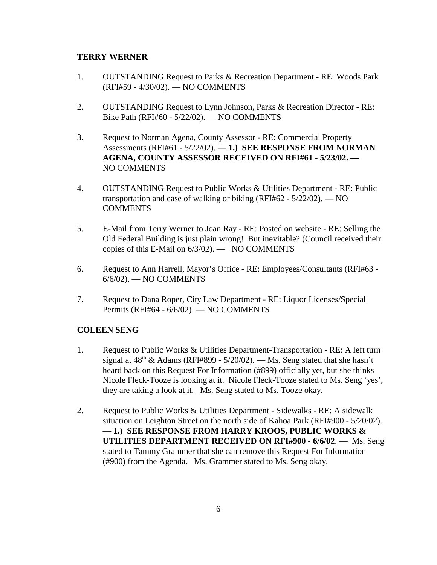#### **TERRY WERNER**

- 1. OUTSTANDING Request to Parks & Recreation Department RE: Woods Park (RFI#59 - 4/30/02). — NO COMMENTS
- 2. OUTSTANDING Request to Lynn Johnson, Parks & Recreation Director RE: Bike Path (RFI#60 - 5/22/02). — NO COMMENTS
- 3. Request to Norman Agena, County Assessor RE: Commercial Property Assessments (RFI#61 - 5/22/02). — **1.) SEE RESPONSE FROM NORMAN AGENA, COUNTY ASSESSOR RECEIVED ON RFI#61 - 5/23/02. —**  NO COMMENTS
- 4. OUTSTANDING Request to Public Works & Utilities Department RE: Public transportation and ease of walking or biking (RFI#62 - 5/22/02). — NO **COMMENTS**
- 5. E-Mail from Terry Werner to Joan Ray RE: Posted on website RE: Selling the Old Federal Building is just plain wrong! But inevitable? (Council received their copies of this E-Mail on 6/3/02). — NO COMMENTS
- 6. Request to Ann Harrell, Mayor's Office RE: Employees/Consultants (RFI#63 6/6/02). — NO COMMENTS
- 7. Request to Dana Roper, City Law Department RE: Liquor Licenses/Special Permits (RFI#64 - 6/6/02). — NO COMMENTS

#### **COLEEN SENG**

- 1. Request to Public Works & Utilities Department-Transportation RE: A left turn signal at  $48<sup>th</sup>$  & Adams (RFI#899 - 5/20/02). — Ms. Seng stated that she hasn't heard back on this Request For Information (#899) officially yet, but she thinks Nicole Fleck-Tooze is looking at it. Nicole Fleck-Tooze stated to Ms. Seng 'yes', they are taking a look at it. Ms. Seng stated to Ms. Tooze okay.
- 2. Request to Public Works & Utilities Department Sidewalks RE: A sidewalk situation on Leighton Street on the north side of Kahoa Park (RFI#900 - 5/20/02). — **1.) SEE RESPONSE FROM HARRY KROOS, PUBLIC WORKS & UTILITIES DEPARTMENT RECEIVED ON RFI#900 - 6/6/02**. — Ms. Seng stated to Tammy Grammer that she can remove this Request For Information (#900) from the Agenda. Ms. Grammer stated to Ms. Seng okay.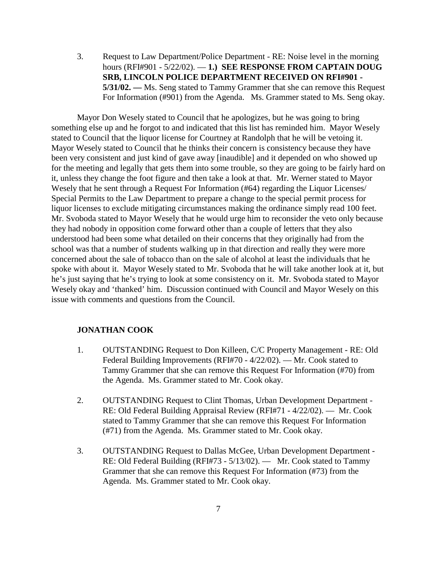3. Request to Law Department/Police Department - RE: Noise level in the morning hours (RFI#901 - 5/22/02). — **1.) SEE RESPONSE FROM CAPTAIN DOUG SRB, LINCOLN POLICE DEPARTMENT RECEIVED ON RFI#901 - 5/31/02. —** Ms. Seng stated to Tammy Grammer that she can remove this Request For Information (#901) from the Agenda. Ms. Grammer stated to Ms. Seng okay.

Mayor Don Wesely stated to Council that he apologizes, but he was going to bring something else up and he forgot to and indicated that this list has reminded him. Mayor Wesely stated to Council that the liquor license for Courtney at Randolph that he will be vetoing it. Mayor Wesely stated to Council that he thinks their concern is consistency because they have been very consistent and just kind of gave away [inaudible] and it depended on who showed up for the meeting and legally that gets them into some trouble, so they are going to be fairly hard on it, unless they change the foot figure and then take a look at that. Mr. Werner stated to Mayor Wesely that he sent through a Request For Information (#64) regarding the Liquor Licenses/ Special Permits to the Law Department to prepare a change to the special permit process for liquor licenses to exclude mitigating circumstances making the ordinance simply read 100 feet. Mr. Svoboda stated to Mayor Wesely that he would urge him to reconsider the veto only because they had nobody in opposition come forward other than a couple of letters that they also understood had been some what detailed on their concerns that they originally had from the school was that a number of students walking up in that direction and really they were more concerned about the sale of tobacco than on the sale of alcohol at least the individuals that he spoke with about it. Mayor Wesely stated to Mr. Svoboda that he will take another look at it, but he's just saying that he's trying to look at some consistency on it. Mr. Svoboda stated to Mayor Wesely okay and 'thanked' him. Discussion continued with Council and Mayor Wesely on this issue with comments and questions from the Council.

#### **JONATHAN COOK**

- 1. OUTSTANDING Request to Don Killeen, C/C Property Management RE: Old Federal Building Improvements (RFI#70 - 4/22/02). — Mr. Cook stated to Tammy Grammer that she can remove this Request For Information (#70) from the Agenda. Ms. Grammer stated to Mr. Cook okay.
- 2. OUTSTANDING Request to Clint Thomas, Urban Development Department RE: Old Federal Building Appraisal Review (RFI#71 - 4/22/02). — Mr. Cook stated to Tammy Grammer that she can remove this Request For Information (#71) from the Agenda. Ms. Grammer stated to Mr. Cook okay.
- 3. OUTSTANDING Request to Dallas McGee, Urban Development Department RE: Old Federal Building (RFI#73 - 5/13/02). — Mr. Cook stated to Tammy Grammer that she can remove this Request For Information (#73) from the Agenda. Ms. Grammer stated to Mr. Cook okay.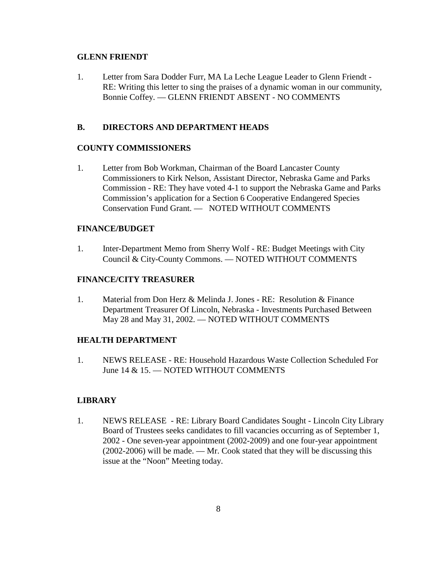#### **GLENN FRIENDT**

1. Letter from Sara Dodder Furr, MA La Leche League Leader to Glenn Friendt - RE: Writing this letter to sing the praises of a dynamic woman in our community, Bonnie Coffey. — GLENN FRIENDT ABSENT - NO COMMENTS

#### **B. DIRECTORS AND DEPARTMENT HEADS**

#### **COUNTY COMMISSIONERS**

1. Letter from Bob Workman, Chairman of the Board Lancaster County Commissioners to Kirk Nelson, Assistant Director, Nebraska Game and Parks Commission - RE: They have voted 4-1 to support the Nebraska Game and Parks Commission's application for a Section 6 Cooperative Endangered Species Conservation Fund Grant. — NOTED WITHOUT COMMENTS

#### **FINANCE/BUDGET**

1. Inter-Department Memo from Sherry Wolf - RE: Budget Meetings with City Council & City-County Commons. — NOTED WITHOUT COMMENTS

#### **FINANCE/CITY TREASURER**

1. Material from Don Herz & Melinda J. Jones - RE: Resolution & Finance Department Treasurer Of Lincoln, Nebraska - Investments Purchased Between May 28 and May 31, 2002. — NOTED WITHOUT COMMENTS

# **HEALTH DEPARTMENT**

1. NEWS RELEASE - RE: Household Hazardous Waste Collection Scheduled For June 14 & 15. — NOTED WITHOUT COMMENTS

# **LIBRARY**

1. NEWS RELEASE - RE: Library Board Candidates Sought - Lincoln City Library Board of Trustees seeks candidates to fill vacancies occurring as of September 1, 2002 - One seven-year appointment (2002-2009) and one four-year appointment (2002-2006) will be made. — Mr. Cook stated that they will be discussing this issue at the "Noon" Meeting today.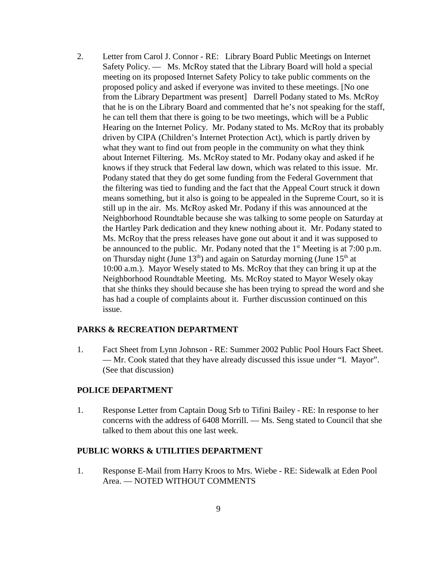2. Letter from Carol J. Connor - RE: Library Board Public Meetings on Internet Safety Policy. — Ms. McRoy stated that the Library Board will hold a special meeting on its proposed Internet Safety Policy to take public comments on the proposed policy and asked if everyone was invited to these meetings. [No one from the Library Department was present] Darrell Podany stated to Ms. McRoy that he is on the Library Board and commented that he's not speaking for the staff, he can tell them that there is going to be two meetings, which will be a Public Hearing on the Internet Policy. Mr. Podany stated to Ms. McRoy that its probably driven by CIPA (Children's Internet Protection Act), which is partly driven by what they want to find out from people in the community on what they think about Internet Filtering. Ms. McRoy stated to Mr. Podany okay and asked if he knows if they struck that Federal law down, which was related to this issue. Mr. Podany stated that they do get some funding from the Federal Government that the filtering was tied to funding and the fact that the Appeal Court struck it down means something, but it also is going to be appealed in the Supreme Court, so it is still up in the air. Ms. McRoy asked Mr. Podany if this was announced at the Neighborhood Roundtable because she was talking to some people on Saturday at the Hartley Park dedication and they knew nothing about it. Mr. Podany stated to Ms. McRoy that the press releases have gone out about it and it was supposed to be announced to the public. Mr. Podany noted that the  $1<sup>st</sup>$  Meeting is at 7:00 p.m. on Thursday night (June  $13<sup>th</sup>$ ) and again on Saturday morning (June  $15<sup>th</sup>$  at 10:00 a.m.). Mayor Wesely stated to Ms. McRoy that they can bring it up at the Neighborhood Roundtable Meeting. Ms. McRoy stated to Mayor Wesely okay that she thinks they should because she has been trying to spread the word and she has had a couple of complaints about it. Further discussion continued on this issue.

#### **PARKS & RECREATION DEPARTMENT**

1. Fact Sheet from Lynn Johnson - RE: Summer 2002 Public Pool Hours Fact Sheet. — Mr. Cook stated that they have already discussed this issue under "I. Mayor". (See that discussion)

#### **POLICE DEPARTMENT**

1. Response Letter from Captain Doug Srb to Tifini Bailey - RE: In response to her concerns with the address of 6408 Morrill. — Ms. Seng stated to Council that she talked to them about this one last week.

#### **PUBLIC WORKS & UTILITIES DEPARTMENT**

1. Response E-Mail from Harry Kroos to Mrs. Wiebe - RE: Sidewalk at Eden Pool Area. — NOTED WITHOUT COMMENTS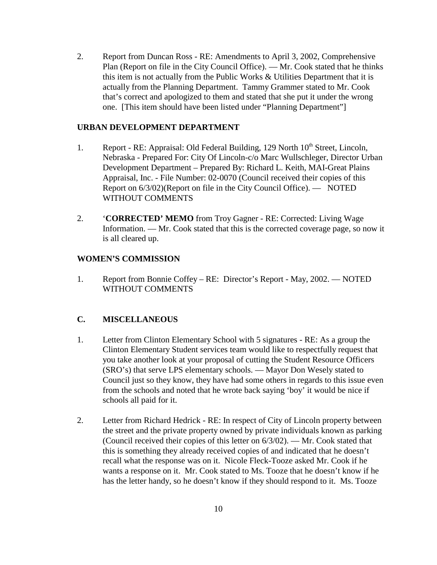2. Report from Duncan Ross - RE: Amendments to April 3, 2002, Comprehensive Plan (Report on file in the City Council Office). — Mr. Cook stated that he thinks this item is not actually from the Public Works & Utilities Department that it is actually from the Planning Department. Tammy Grammer stated to Mr. Cook that's correct and apologized to them and stated that she put it under the wrong one. [This item should have been listed under "Planning Department"]

#### **URBAN DEVELOPMENT DEPARTMENT**

- 1. Report RE: Appraisal: Old Federal Building, 129 North 10<sup>th</sup> Street, Lincoln, Nebraska - Prepared For: City Of Lincoln-c/o Marc Wullschleger, Director Urban Development Department – Prepared By: Richard L. Keith, MAI-Great Plains Appraisal, Inc. - File Number: 02-0070 (Council received their copies of this Report on 6/3/02)(Report on file in the City Council Office). — NOTED WITHOUT COMMENTS
- 2. '**CORRECTED' MEMO** from Troy Gagner RE: Corrected: Living Wage Information. — Mr. Cook stated that this is the corrected coverage page, so now it is all cleared up.

#### **WOMEN'S COMMISSION**

1. Report from Bonnie Coffey – RE: Director's Report - May, 2002. — NOTED WITHOUT COMMENTS

# **C. MISCELLANEOUS**

- 1. Letter from Clinton Elementary School with 5 signatures RE: As a group the Clinton Elementary Student services team would like to respectfully request that you take another look at your proposal of cutting the Student Resource Officers (SRO's) that serve LPS elementary schools. — Mayor Don Wesely stated to Council just so they know, they have had some others in regards to this issue even from the schools and noted that he wrote back saying 'boy' it would be nice if schools all paid for it.
- 2. Letter from Richard Hedrick RE: In respect of City of Lincoln property between the street and the private property owned by private individuals known as parking (Council received their copies of this letter on 6/3/02). — Mr. Cook stated that this is something they already received copies of and indicated that he doesn't recall what the response was on it. Nicole Fleck-Tooze asked Mr. Cook if he wants a response on it. Mr. Cook stated to Ms. Tooze that he doesn't know if he has the letter handy, so he doesn't know if they should respond to it. Ms. Tooze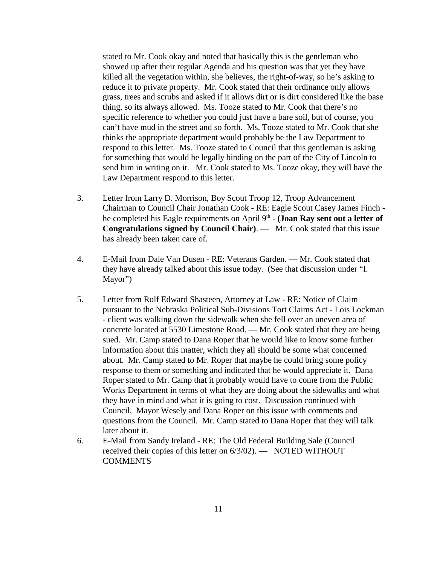stated to Mr. Cook okay and noted that basically this is the gentleman who showed up after their regular Agenda and his question was that yet they have killed all the vegetation within, she believes, the right-of-way, so he's asking to reduce it to private property. Mr. Cook stated that their ordinance only allows grass, trees and scrubs and asked if it allows dirt or is dirt considered like the base thing, so its always allowed. Ms. Tooze stated to Mr. Cook that there's no specific reference to whether you could just have a bare soil, but of course, you can't have mud in the street and so forth. Ms. Tooze stated to Mr. Cook that she thinks the appropriate department would probably be the Law Department to respond to this letter. Ms. Tooze stated to Council that this gentleman is asking for something that would be legally binding on the part of the City of Lincoln to send him in writing on it. Mr. Cook stated to Ms. Tooze okay, they will have the Law Department respond to this letter.

- 3. Letter from Larry D. Morrison, Boy Scout Troop 12, Troop Advancement Chairman to Council Chair Jonathan Cook - RE: Eagle Scout Casey James Finch he completed his Eagle requirements on April 9<sup>th</sup> - **(Joan Ray sent out a letter of Congratulations signed by Council Chair)**. — Mr. Cook stated that this issue has already been taken care of.
- 4. E-Mail from Dale Van Dusen RE: Veterans Garden. Mr. Cook stated that they have already talked about this issue today. (See that discussion under "I. Mayor")
- 5. Letter from Rolf Edward Shasteen, Attorney at Law RE: Notice of Claim pursuant to the Nebraska Political Sub-Divisions Tort Claims Act - Lois Lockman - client was walking down the sidewalk when she fell over an uneven area of concrete located at 5530 Limestone Road. — Mr. Cook stated that they are being sued. Mr. Camp stated to Dana Roper that he would like to know some further information about this matter, which they all should be some what concerned about. Mr. Camp stated to Mr. Roper that maybe he could bring some policy response to them or something and indicated that he would appreciate it. Dana Roper stated to Mr. Camp that it probably would have to come from the Public Works Department in terms of what they are doing about the sidewalks and what they have in mind and what it is going to cost. Discussion continued with Council, Mayor Wesely and Dana Roper on this issue with comments and questions from the Council. Mr. Camp stated to Dana Roper that they will talk later about it.
- 6. E-Mail from Sandy Ireland RE: The Old Federal Building Sale (Council received their copies of this letter on 6/3/02). — NOTED WITHOUT **COMMENTS**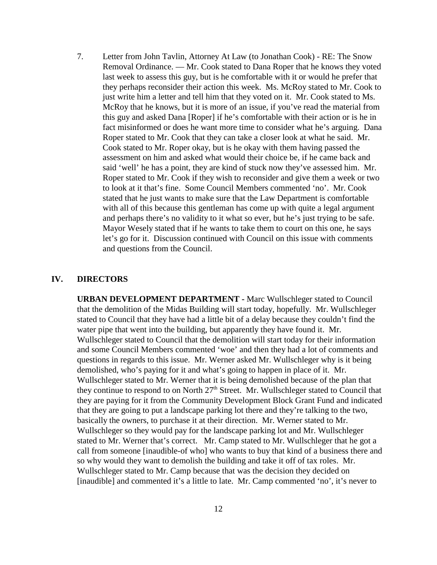7. Letter from John Tavlin, Attorney At Law (to Jonathan Cook) - RE: The Snow Removal Ordinance. — Mr. Cook stated to Dana Roper that he knows they voted last week to assess this guy, but is he comfortable with it or would he prefer that they perhaps reconsider their action this week. Ms. McRoy stated to Mr. Cook to just write him a letter and tell him that they voted on it. Mr. Cook stated to Ms. McRoy that he knows, but it is more of an issue, if you've read the material from this guy and asked Dana [Roper] if he's comfortable with their action or is he in fact misinformed or does he want more time to consider what he's arguing. Dana Roper stated to Mr. Cook that they can take a closer look at what he said. Mr. Cook stated to Mr. Roper okay, but is he okay with them having passed the assessment on him and asked what would their choice be, if he came back and said 'well' he has a point, they are kind of stuck now they've assessed him. Mr. Roper stated to Mr. Cook if they wish to reconsider and give them a week or two to look at it that's fine. Some Council Members commented 'no'. Mr. Cook stated that he just wants to make sure that the Law Department is comfortable with all of this because this gentleman has come up with quite a legal argument and perhaps there's no validity to it what so ever, but he's just trying to be safe. Mayor Wesely stated that if he wants to take them to court on this one, he says let's go for it. Discussion continued with Council on this issue with comments and questions from the Council.

#### **IV. DIRECTORS**

**URBAN DEVELOPMENT DEPARTMENT -** Marc Wullschleger stated to Council that the demolition of the Midas Building will start today, hopefully. Mr. Wullschleger stated to Council that they have had a little bit of a delay because they couldn't find the water pipe that went into the building, but apparently they have found it. Mr. Wullschleger stated to Council that the demolition will start today for their information and some Council Members commented 'woe' and then they had a lot of comments and questions in regards to this issue. Mr. Werner asked Mr. Wullschleger why is it being demolished, who's paying for it and what's going to happen in place of it. Mr. Wullschleger stated to Mr. Werner that it is being demolished because of the plan that they continue to respond to on North  $27<sup>th</sup>$  Street. Mr. Wullschleger stated to Council that they are paying for it from the Community Development Block Grant Fund and indicated that they are going to put a landscape parking lot there and they're talking to the two, basically the owners, to purchase it at their direction. Mr. Werner stated to Mr. Wullschleger so they would pay for the landscape parking lot and Mr. Wullschleger stated to Mr. Werner that's correct. Mr. Camp stated to Mr. Wullschleger that he got a call from someone [inaudible-of who] who wants to buy that kind of a business there and so why would they want to demolish the building and take it off of tax roles. Mr. Wullschleger stated to Mr. Camp because that was the decision they decided on [inaudible] and commented it's a little to late. Mr. Camp commented 'no', it's never to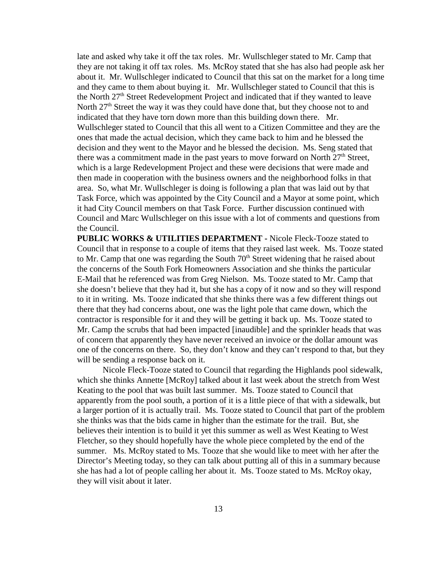late and asked why take it off the tax roles. Mr. Wullschleger stated to Mr. Camp that they are not taking it off tax roles. Ms. McRoy stated that she has also had people ask her about it. Mr. Wullschleger indicated to Council that this sat on the market for a long time and they came to them about buying it. Mr. Wullschleger stated to Council that this is the North 27<sup>th</sup> Street Redevelopment Project and indicated that if they wanted to leave North  $27<sup>th</sup>$  Street the way it was they could have done that, but they choose not to and indicated that they have torn down more than this building down there. Mr. Wullschleger stated to Council that this all went to a Citizen Committee and they are the ones that made the actual decision, which they came back to him and he blessed the decision and they went to the Mayor and he blessed the decision. Ms. Seng stated that there was a commitment made in the past years to move forward on North  $27<sup>th</sup>$  Street, which is a large Redevelopment Project and these were decisions that were made and then made in cooperation with the business owners and the neighborhood folks in that area. So, what Mr. Wullschleger is doing is following a plan that was laid out by that Task Force, which was appointed by the City Council and a Mayor at some point, which it had City Council members on that Task Force. Further discussion continued with Council and Marc Wullschleger on this issue with a lot of comments and questions from the Council.

**PUBLIC WORKS & UTILITIES DEPARTMENT -** Nicole Fleck-Tooze stated to Council that in response to a couple of items that they raised last week. Ms. Tooze stated to Mr. Camp that one was regarding the South  $70<sup>th</sup>$  Street widening that he raised about the concerns of the South Fork Homeowners Association and she thinks the particular E-Mail that he referenced was from Greg Nielson. Ms. Tooze stated to Mr. Camp that she doesn't believe that they had it, but she has a copy of it now and so they will respond to it in writing. Ms. Tooze indicated that she thinks there was a few different things out there that they had concerns about, one was the light pole that came down, which the contractor is responsible for it and they will be getting it back up. Ms. Tooze stated to Mr. Camp the scrubs that had been impacted [inaudible] and the sprinkler heads that was of concern that apparently they have never received an invoice or the dollar amount was one of the concerns on there. So, they don't know and they can't respond to that, but they will be sending a response back on it.

Nicole Fleck-Tooze stated to Council that regarding the Highlands pool sidewalk, which she thinks Annette [McRoy] talked about it last week about the stretch from West Keating to the pool that was built last summer. Ms. Tooze stated to Council that apparently from the pool south, a portion of it is a little piece of that with a sidewalk, but a larger portion of it is actually trail. Ms. Tooze stated to Council that part of the problem she thinks was that the bids came in higher than the estimate for the trail. But, she believes their intention is to build it yet this summer as well as West Keating to West Fletcher, so they should hopefully have the whole piece completed by the end of the summer. Ms. McRoy stated to Ms. Tooze that she would like to meet with her after the Director's Meeting today, so they can talk about putting all of this in a summary because she has had a lot of people calling her about it. Ms. Tooze stated to Ms. McRoy okay, they will visit about it later.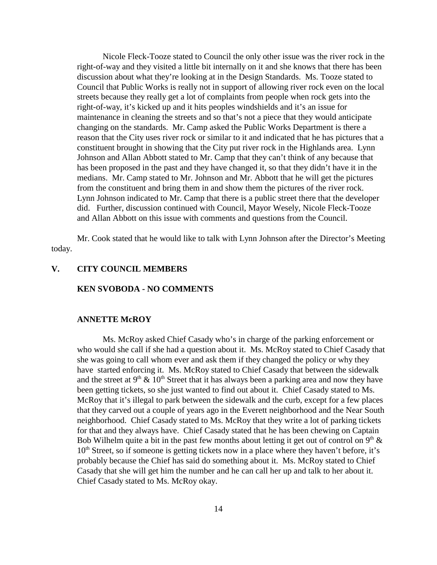Nicole Fleck-Tooze stated to Council the only other issue was the river rock in the right-of-way and they visited a little bit internally on it and she knows that there has been discussion about what they're looking at in the Design Standards. Ms. Tooze stated to Council that Public Works is really not in support of allowing river rock even on the local streets because they really get a lot of complaints from people when rock gets into the right-of-way, it's kicked up and it hits peoples windshields and it's an issue for maintenance in cleaning the streets and so that's not a piece that they would anticipate changing on the standards. Mr. Camp asked the Public Works Department is there a reason that the City uses river rock or similar to it and indicated that he has pictures that a constituent brought in showing that the City put river rock in the Highlands area. Lynn Johnson and Allan Abbott stated to Mr. Camp that they can't think of any because that has been proposed in the past and they have changed it, so that they didn't have it in the medians. Mr. Camp stated to Mr. Johnson and Mr. Abbott that he will get the pictures from the constituent and bring them in and show them the pictures of the river rock. Lynn Johnson indicated to Mr. Camp that there is a public street there that the developer did. Further, discussion continued with Council, Mayor Wesely, Nicole Fleck-Tooze and Allan Abbott on this issue with comments and questions from the Council.

Mr. Cook stated that he would like to talk with Lynn Johnson after the Director's Meeting today.

#### **V. CITY COUNCIL MEMBERS**

#### **KEN SVOBODA - NO COMMENTS**

#### **ANNETTE McROY**

Ms. McRoy asked Chief Casady who's in charge of the parking enforcement or who would she call if she had a question about it. Ms. McRoy stated to Chief Casady that she was going to call whom ever and ask them if they changed the policy or why they have started enforcing it. Ms. McRoy stated to Chief Casady that between the sidewalk and the street at  $9<sup>th</sup> \& 10<sup>th</sup>$  Street that it has always been a parking area and now they have been getting tickets, so she just wanted to find out about it. Chief Casady stated to Ms. McRoy that it's illegal to park between the sidewalk and the curb, except for a few places that they carved out a couple of years ago in the Everett neighborhood and the Near South neighborhood. Chief Casady stated to Ms. McRoy that they write a lot of parking tickets for that and they always have. Chief Casady stated that he has been chewing on Captain Bob Wilhelm quite a bit in the past few months about letting it get out of control on 9<sup>th</sup>  $\&$  $10<sup>th</sup>$  Street, so if someone is getting tickets now in a place where they haven't before, it's probably because the Chief has said do something about it. Ms. McRoy stated to Chief Casady that she will get him the number and he can call her up and talk to her about it. Chief Casady stated to Ms. McRoy okay.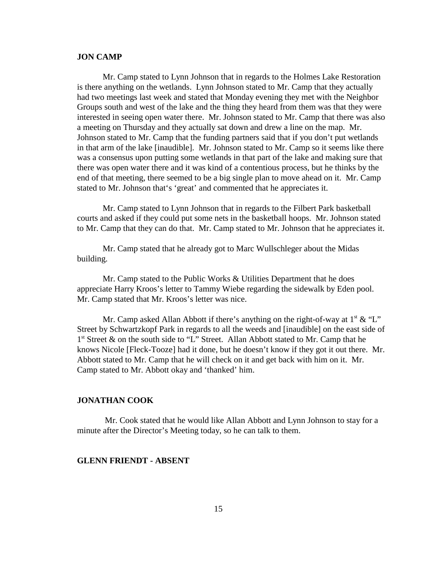#### **JON CAMP**

Mr. Camp stated to Lynn Johnson that in regards to the Holmes Lake Restoration is there anything on the wetlands. Lynn Johnson stated to Mr. Camp that they actually had two meetings last week and stated that Monday evening they met with the Neighbor Groups south and west of the lake and the thing they heard from them was that they were interested in seeing open water there. Mr. Johnson stated to Mr. Camp that there was also a meeting on Thursday and they actually sat down and drew a line on the map. Mr. Johnson stated to Mr. Camp that the funding partners said that if you don't put wetlands in that arm of the lake [inaudible]. Mr. Johnson stated to Mr. Camp so it seems like there was a consensus upon putting some wetlands in that part of the lake and making sure that there was open water there and it was kind of a contentious process, but he thinks by the end of that meeting, there seemed to be a big single plan to move ahead on it. Mr. Camp stated to Mr. Johnson that's 'great' and commented that he appreciates it.

Mr. Camp stated to Lynn Johnson that in regards to the Filbert Park basketball courts and asked if they could put some nets in the basketball hoops. Mr. Johnson stated to Mr. Camp that they can do that. Mr. Camp stated to Mr. Johnson that he appreciates it.

Mr. Camp stated that he already got to Marc Wullschleger about the Midas building.

Mr. Camp stated to the Public Works & Utilities Department that he does appreciate Harry Kroos's letter to Tammy Wiebe regarding the sidewalk by Eden pool. Mr. Camp stated that Mr. Kroos's letter was nice.

Mr. Camp asked Allan Abbott if there's anything on the right-of-way at  $1<sup>st</sup> \& '`L'$ Street by Schwartzkopf Park in regards to all the weeds and [inaudible] on the east side of 1st Street & on the south side to "L" Street. Allan Abbott stated to Mr. Camp that he knows Nicole [Fleck-Tooze] had it done, but he doesn't know if they got it out there. Mr. Abbott stated to Mr. Camp that he will check on it and get back with him on it. Mr. Camp stated to Mr. Abbott okay and 'thanked' him.

#### **JONATHAN COOK**

 Mr. Cook stated that he would like Allan Abbott and Lynn Johnson to stay for a minute after the Director's Meeting today, so he can talk to them.

#### **GLENN FRIENDT - ABSENT**